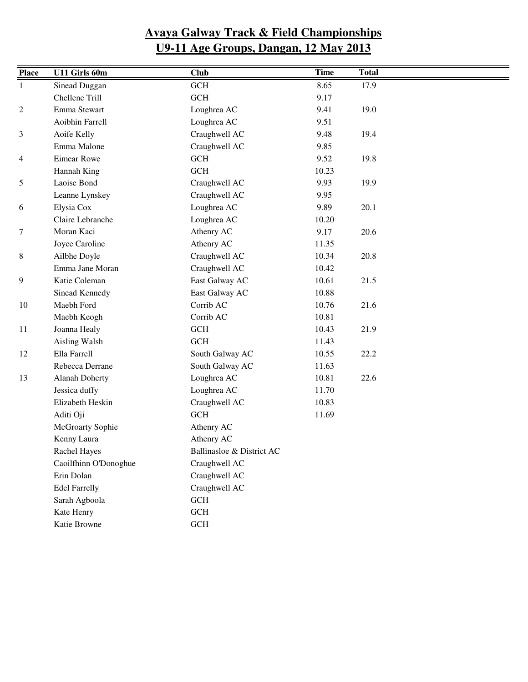| <b>Place</b>   | U11 Girls 60m         | <b>Club</b>               | <b>Time</b> | <b>Total</b> |  |
|----------------|-----------------------|---------------------------|-------------|--------------|--|
| $\mathbf{1}$   | Sinead Duggan         | GCH                       | 8.65        | 17.9         |  |
|                | Chellene Trill        | $GCH$                     | 9.17        |              |  |
| $\overline{c}$ | Emma Stewart          | Loughrea AC               | 9.41        | 19.0         |  |
|                | Aoibhin Farrell       | Loughrea AC               | 9.51        |              |  |
| 3              | Aoife Kelly           | Craughwell AC             | 9.48        | 19.4         |  |
|                | Emma Malone           | Craughwell AC             | 9.85        |              |  |
| 4              | Eimear Rowe           | GCH                       | 9.52        | 19.8         |  |
|                | Hannah King           | GCH                       | 10.23       |              |  |
| 5              | Laoise Bond           | Craughwell AC             | 9.93        | 19.9         |  |
|                | Leanne Lynskey        | Craughwell AC             | 9.95        |              |  |
| 6              | Elysia Cox            | Loughrea AC               | 9.89        | 20.1         |  |
|                | Claire Lebranche      | Loughrea AC               | 10.20       |              |  |
| 7              | Moran Kaci            | Athenry AC                | 9.17        | 20.6         |  |
|                | Joyce Caroline        | Athenry AC                | 11.35       |              |  |
| 8              | Ailbhe Doyle          | Craughwell AC             | 10.34       | 20.8         |  |
|                | Emma Jane Moran       | Craughwell AC             | 10.42       |              |  |
| 9              | Katie Coleman         | East Galway AC            | 10.61       | 21.5         |  |
|                | Sinead Kennedy        | East Galway AC            | 10.88       |              |  |
| 10             | Maebh Ford            | Corrib AC                 | 10.76       | 21.6         |  |
|                | Maebh Keogh           | Corrib AC                 | 10.81       |              |  |
| 11             | Joanna Healy          | $\operatorname{GCH}$      | 10.43       | 21.9         |  |
|                | Aisling Walsh         | <b>GCH</b>                | 11.43       |              |  |
| 12             | Ella Farrell          | South Galway AC           | 10.55       | 22.2         |  |
|                | Rebecca Derrane       | South Galway AC           | 11.63       |              |  |
| 13             | <b>Alanah Doherty</b> | Loughrea AC               | 10.81       | 22.6         |  |
|                | Jessica duffy         | Loughrea AC               | 11.70       |              |  |
|                | Elizabeth Heskin      | Craughwell AC             | 10.83       |              |  |
|                | Aditi Oji             | GCH                       | 11.69       |              |  |
|                | McGroarty Sophie      | Athenry AC                |             |              |  |
|                | Kenny Laura           | Athenry AC                |             |              |  |
|                | Rachel Hayes          | Ballinasloe & District AC |             |              |  |
|                | Caoilfhinn O'Donoghue | Craughwell AC             |             |              |  |
|                | Erin Dolan            | Craughwell AC             |             |              |  |
|                | <b>Edel Farrelly</b>  | Craughwell AC             |             |              |  |
|                | Sarah Agboola         | $\operatorname{GCH}$      |             |              |  |
|                | Kate Henry            | $\operatorname{GCH}$      |             |              |  |
|                | Katie Browne          | $\operatorname{GCH}$      |             |              |  |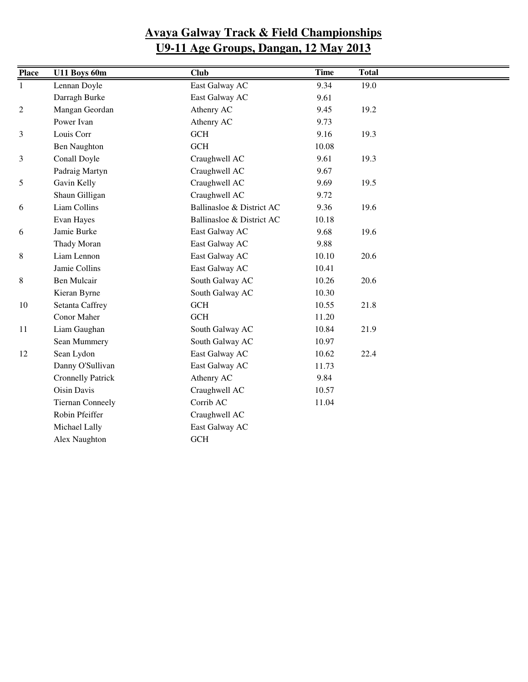| <b>Place</b>   | U11 Boys 60m             | <b>Club</b>               | <b>Time</b> | <b>Total</b> |  |
|----------------|--------------------------|---------------------------|-------------|--------------|--|
| $\mathbf{1}$   | Lennan Doyle             | East Galway AC            | 9.34        | 19.0         |  |
|                | Darragh Burke            | East Galway AC            | 9.61        |              |  |
| $\overline{c}$ | Mangan Geordan           | Athenry AC                | 9.45        | 19.2         |  |
|                | Power Ivan               | Athenry AC                | 9.73        |              |  |
| 3              | Louis Corr               | GCH                       | 9.16        | 19.3         |  |
|                | <b>Ben Naughton</b>      | <b>GCH</b>                | 10.08       |              |  |
| 3              | Conall Doyle             | Craughwell AC             | 9.61        | 19.3         |  |
|                | Padraig Martyn           | Craughwell AC             | 9.67        |              |  |
| 5              | Gavin Kelly              | Craughwell AC             | 9.69        | 19.5         |  |
|                | Shaun Gilligan           | Craughwell AC             | 9.72        |              |  |
| 6              | Liam Collins             | Ballinasloe & District AC | 9.36        | 19.6         |  |
|                | Evan Hayes               | Ballinasloe & District AC | 10.18       |              |  |
| 6              | Jamie Burke              | East Galway AC            | 9.68        | 19.6         |  |
|                | Thady Moran              | East Galway AC            | 9.88        |              |  |
| 8              | Liam Lennon              | East Galway AC            | 10.10       | 20.6         |  |
|                | Jamie Collins            | East Galway AC            | 10.41       |              |  |
| 8              | <b>Ben Mulcair</b>       | South Galway AC           | 10.26       | 20.6         |  |
|                | Kieran Byrne             | South Galway AC           | 10.30       |              |  |
| 10             | Setanta Caffrey          | <b>GCH</b>                | 10.55       | 21.8         |  |
|                | Conor Maher              | <b>GCH</b>                | 11.20       |              |  |
| 11             | Liam Gaughan             | South Galway AC           | 10.84       | 21.9         |  |
|                | Sean Mummery             | South Galway AC           | 10.97       |              |  |
| 12             | Sean Lydon               | East Galway AC            | 10.62       | 22.4         |  |
|                | Danny O'Sullivan         | East Galway AC            | 11.73       |              |  |
|                | <b>Cronnelly Patrick</b> | Athenry AC                | 9.84        |              |  |
|                | <b>Oisin Davis</b>       | Craughwell AC             | 10.57       |              |  |
|                | <b>Tiernan Conneely</b>  | Corrib AC                 | 11.04       |              |  |
|                | Robin Pfeiffer           | Craughwell AC             |             |              |  |
|                | Michael Lally            | East Galway AC            |             |              |  |
|                | Alex Naughton            | GCH                       |             |              |  |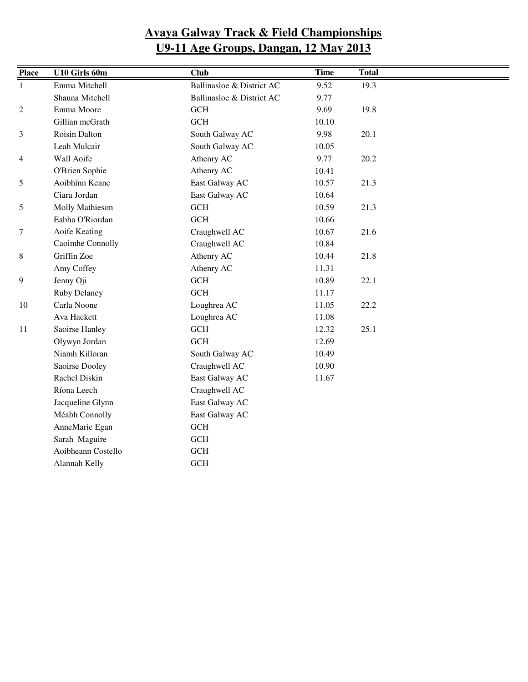| <b>Place</b>     | U10 Girls 60m       | <b>Club</b>               | <b>Time</b> | <b>Total</b> |  |
|------------------|---------------------|---------------------------|-------------|--------------|--|
| $\mathbf{1}$     | Emma Mitchell       | Ballinasloe & District AC | 9.52        | 19.3         |  |
|                  | Shauna Mitchell     | Ballinasloe & District AC | 9.77        |              |  |
| $\boldsymbol{2}$ | Emma Moore          | GCH                       | 9.69        | 19.8         |  |
|                  | Gillian mcGrath     | GCH                       | 10.10       |              |  |
| 3                | Roisin Dalton       | South Galway AC           | 9.98        | 20.1         |  |
|                  | Leah Mulcair        | South Galway AC           | 10.05       |              |  |
| 4                | Wall Aoife          | Athenry AC                | 9.77        | 20.2         |  |
|                  | O'Brien Sophie      | Athenry AC                | 10.41       |              |  |
| 5                | Aoibhínn Keane      | East Galway AC            | 10.57       | 21.3         |  |
|                  | Ciara Jordan        | East Galway AC            | 10.64       |              |  |
| 5                | Molly Mathieson     | GCH                       | 10.59       | 21.3         |  |
|                  | Eabha O'Riordan     | GCH                       | 10.66       |              |  |
| 7                | Aoife Keating       | Craughwell AC             | 10.67       | 21.6         |  |
|                  | Caoimhe Connolly    | Craughwell AC             | 10.84       |              |  |
| 8                | Griffin Zoe         | Athenry AC                | 10.44       | 21.8         |  |
|                  | Amy Coffey          | Athenry AC                | 11.31       |              |  |
| 9                | Jenny Oji           | GCH                       | 10.89       | 22.1         |  |
|                  | <b>Ruby Delaney</b> | GCH                       | 11.17       |              |  |
| 10               | Carla Noone         | Loughrea AC               | 11.05       | 22.2         |  |
|                  | Ava Hackett         | Loughrea AC               | 11.08       |              |  |
| 11               | Saoirse Hanley      | $GCH$                     | 12.32       | 25.1         |  |
|                  | Olywyn Jordan       | GCH                       | 12.69       |              |  |
|                  | Niamh Killoran      | South Galway AC           | 10.49       |              |  |
|                  | Saoirse Dooley      | Craughwell AC             | 10.90       |              |  |
|                  | Rachel Diskin       | East Galway AC            | 11.67       |              |  |
|                  | Ríona Leech         | Craughwell AC             |             |              |  |
|                  | Jacqueline Glynn    | East Galway AC            |             |              |  |
|                  | Méabh Connolly      | East Galway AC            |             |              |  |
|                  | AnneMarie Egan      | $\operatorname{GCH}$      |             |              |  |
|                  | Sarah Maguire       | $\operatorname{GCH}$      |             |              |  |
|                  | Aoibheann Costello  | $\operatorname{GCH}$      |             |              |  |
|                  | Alannah Kelly       | GCH                       |             |              |  |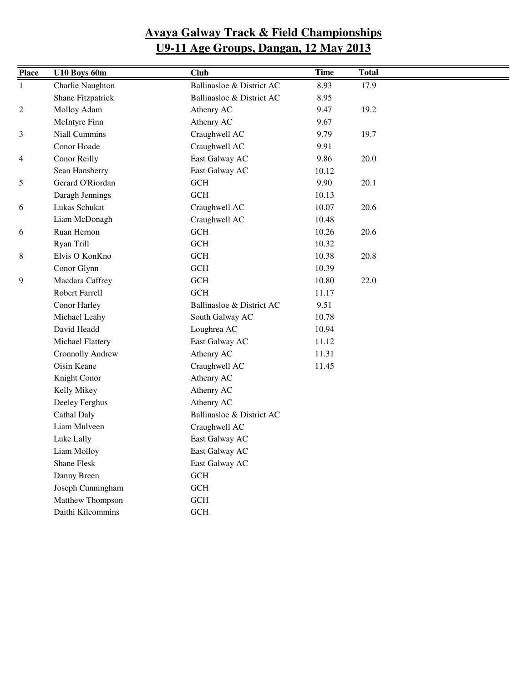| <b>Place</b> | U10 Boys 60m            | <b>Club</b>               | <b>Time</b> | <b>Total</b> |  |
|--------------|-------------------------|---------------------------|-------------|--------------|--|
| $\mathbf{1}$ | Charlie Naughton        | Ballinasloe & District AC | 8.93        | 17.9         |  |
|              | Shane Fitzpatrick       | Ballinasloe & District AC | 8.95        |              |  |
| 2            | Molloy Adam             | Athenry AC                | 9.47        | 19.2         |  |
|              | McIntyre Finn           | Athenry AC                | 9.67        |              |  |
| 3            | Niall Cummins           | Craughwell AC             | 9.79        | 19.7         |  |
|              | Conor Hoade             | Craughwell AC             | 9.91        |              |  |
| 4            | Conor Reilly            | East Galway AC            | 9.86        | 20.0         |  |
|              | Sean Hansberry          | East Galway AC            | 10.12       |              |  |
| 5            | Gerard O'Riordan        | $GCH$                     | 9.90        | 20.1         |  |
|              | Daragh Jennings         | $GCH$                     | 10.13       |              |  |
| 6            | Lukas Schukat           | Craughwell AC             | 10.07       | 20.6         |  |
|              | Liam McDonagh           | Craughwell AC             | 10.48       |              |  |
| 6            | Ruan Hernon             | GCH                       | 10.26       | 20.6         |  |
|              | Ryan Trill              | <b>GCH</b>                | 10.32       |              |  |
| 8            | Elvis O KonKno          | $GCH$                     | 10.38       | 20.8         |  |
|              | Conor Glynn             | $GCH$                     | 10.39       |              |  |
| 9            | Macdara Caffrey         | <b>GCH</b>                | 10.80       | 22.0         |  |
|              | Robert Farrell          | <b>GCH</b>                | 11.17       |              |  |
|              | Conor Harley            | Ballinasloe & District AC | 9.51        |              |  |
|              | Michael Leahy           | South Galway AC           | 10.78       |              |  |
|              | David Headd             | Loughrea AC               | 10.94       |              |  |
|              | Michael Flattery        | East Galway AC            | 11.12       |              |  |
|              | <b>Cronnolly Andrew</b> | Athenry AC                | 11.31       |              |  |
|              | Oisin Keane             | Craughwell AC             | 11.45       |              |  |
|              | Knight Conor            | Athenry AC                |             |              |  |
|              | Kelly Mikey             | Athenry AC                |             |              |  |
|              | Deeley Ferghus          | Athenry AC                |             |              |  |
|              | Cathal Daly             | Ballinasloe & District AC |             |              |  |
|              | Liam Mulveen            | Craughwell AC             |             |              |  |
|              | Luke Lally              | East Galway AC            |             |              |  |
|              | Liam Molloy             | East Galway AC            |             |              |  |
|              | Shane Flesk             | East Galway AC            |             |              |  |
|              | Danny Breen             | <b>GCH</b>                |             |              |  |
|              | Joseph Cunningham       | $\operatorname{GCH}$      |             |              |  |
|              | Matthew Thompson        | $GCH$                     |             |              |  |
|              | Daithi Kilcommins       | <b>GCH</b>                |             |              |  |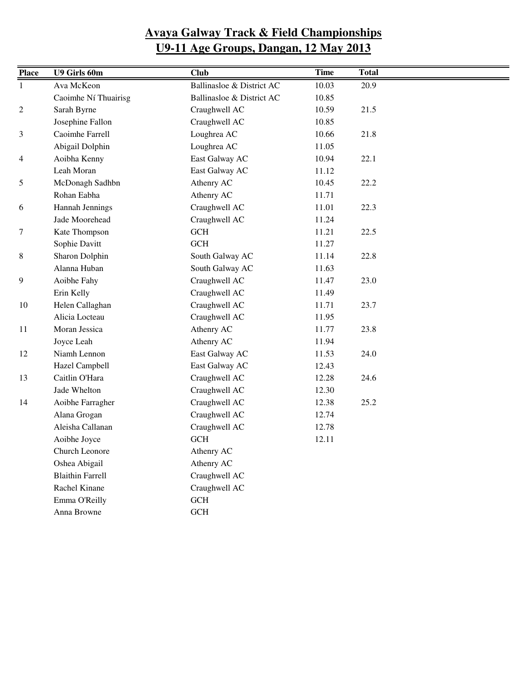| <b>Place</b> | U9 Girls 60m            | <b>Club</b>               | <b>Time</b> | <b>Total</b> |
|--------------|-------------------------|---------------------------|-------------|--------------|
| $\mathbf{1}$ | Ava McKeon              | Ballinasloe & District AC | 10.03       | 20.9         |
|              | Caoimhe Ní Thuairisg    | Ballinasloe & District AC | 10.85       |              |
| 2            | Sarah Byrne             | Craughwell AC             | 10.59       | 21.5         |
|              | Josephine Fallon        | Craughwell AC             | 10.85       |              |
| 3            | Caoimhe Farrell         | Loughrea AC               | 10.66       | 21.8         |
|              | Abigail Dolphin         | Loughrea AC               | 11.05       |              |
| 4            | Aoibha Kenny            | East Galway AC            | 10.94       | 22.1         |
|              | Leah Moran              | East Galway AC            | 11.12       |              |
| 5            | McDonagh Sadhbn         | Athenry AC                | 10.45       | 22.2         |
|              | Rohan Eabha             | Athenry AC                | 11.71       |              |
| 6            | Hannah Jennings         | Craughwell AC             | 11.01       | 22.3         |
|              | Jade Moorehead          | Craughwell AC             | 11.24       |              |
| 7            | Kate Thompson           | <b>GCH</b>                | 11.21       | 22.5         |
|              | Sophie Davitt           | <b>GCH</b>                | 11.27       |              |
| 8            | Sharon Dolphin          | South Galway AC           | 11.14       | 22.8         |
|              | Alanna Huban            | South Galway AC           | 11.63       |              |
| 9            | Aoibhe Fahy             | Craughwell AC             | 11.47       | 23.0         |
|              | Erin Kelly              | Craughwell AC             | 11.49       |              |
| 10           | Helen Callaghan         | Craughwell AC             | 11.71       | 23.7         |
|              | Alicia Locteau          | Craughwell AC             | 11.95       |              |
| 11           | Moran Jessica           | Athenry AC                | 11.77       | 23.8         |
|              | Joyce Leah              | Athenry AC                | 11.94       |              |
| 12           | Niamh Lennon            | East Galway AC            | 11.53       | 24.0         |
|              | Hazel Campbell          | East Galway AC            | 12.43       |              |
| 13           | Caitlin O'Hara          | Craughwell AC             | 12.28       | 24.6         |
|              | Jade Whelton            | Craughwell AC             | 12.30       |              |
| 14           | Aoibhe Farragher        | Craughwell AC             | 12.38       | 25.2         |
|              | Alana Grogan            | Craughwell AC             | 12.74       |              |
|              | Aleisha Callanan        | Craughwell AC             | 12.78       |              |
|              | Aoibhe Joyce            | <b>GCH</b>                | 12.11       |              |
|              | Church Leonore          | Athenry AC                |             |              |
|              | Oshea Abigail           | Athenry AC                |             |              |
|              | <b>Blaithin Farrell</b> | Craughwell AC             |             |              |
|              | Rachel Kinane           | Craughwell AC             |             |              |
|              | Emma O'Reilly           | GCH                       |             |              |
|              | Anna Browne             | <b>GCH</b>                |             |              |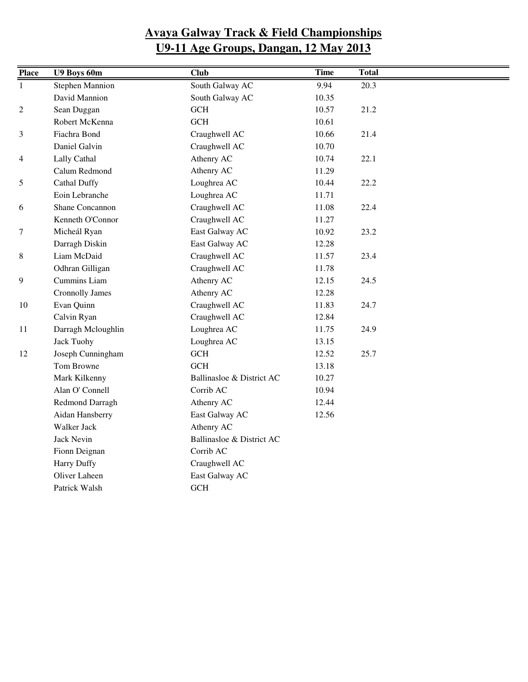| <b>Place</b>   | U9 Boys 60m            | <b>Club</b>               | <b>Time</b> | <b>Total</b> |  |
|----------------|------------------------|---------------------------|-------------|--------------|--|
| $\mathbf{1}$   | <b>Stephen Mannion</b> | South Galway AC           | 9.94        | 20.3         |  |
|                | David Mannion          | South Galway AC           | 10.35       |              |  |
| $\overline{c}$ | Sean Duggan            | $\operatorname{GCH}$      | 10.57       | 21.2         |  |
|                | Robert McKenna         | GCH                       | 10.61       |              |  |
| 3              | Fiachra Bond           | Craughwell AC             | 10.66       | 21.4         |  |
|                | Daniel Galvin          | Craughwell AC             | 10.70       |              |  |
| 4              | Lally Cathal           | Athenry AC                | 10.74       | 22.1         |  |
|                | Calum Redmond          | Athenry AC                | 11.29       |              |  |
| 5              | <b>Cathal Duffy</b>    | Loughrea AC               | 10.44       | 22.2         |  |
|                | Eoin Lebranche         | Loughrea AC               | 11.71       |              |  |
| 6              | Shane Concannon        | Craughwell AC             | 11.08       | 22.4         |  |
|                | Kenneth O'Connor       | Craughwell AC             | 11.27       |              |  |
| 7              | Micheál Ryan           | East Galway AC            | 10.92       | 23.2         |  |
|                | Darragh Diskin         | East Galway AC            | 12.28       |              |  |
| 8              | Liam McDaid            | Craughwell AC             | 11.57       | 23.4         |  |
|                | Odhran Gilligan        | Craughwell AC             | 11.78       |              |  |
| 9              | Cummins Liam           | Athenry AC                | 12.15       | 24.5         |  |
|                | <b>Cronnolly James</b> | Athenry AC                | 12.28       |              |  |
| 10             | Evan Quinn             | Craughwell AC             | 11.83       | 24.7         |  |
|                | Calvin Ryan            | Craughwell AC             | 12.84       |              |  |
| 11             | Darragh Mcloughlin     | Loughrea AC               | 11.75       | 24.9         |  |
|                | <b>Jack Tuohy</b>      | Loughrea AC               | 13.15       |              |  |
| 12             | Joseph Cunningham      | $\operatorname{GCH}$      | 12.52       | 25.7         |  |
|                | Tom Browne             | GCH                       | 13.18       |              |  |
|                | Mark Kilkenny          | Ballinasloe & District AC | 10.27       |              |  |
|                | Alan O' Connell        | Corrib AC                 | 10.94       |              |  |
|                | Redmond Darragh        | Athenry AC                | 12.44       |              |  |
|                | Aidan Hansberry        | East Galway AC            | 12.56       |              |  |
|                | Walker Jack            | Athenry AC                |             |              |  |
|                | <b>Jack Nevin</b>      | Ballinasloe & District AC |             |              |  |
|                | Fionn Deignan          | Corrib AC                 |             |              |  |
|                | <b>Harry Duffy</b>     | Craughwell AC             |             |              |  |
|                | Oliver Laheen          | East Galway AC            |             |              |  |
|                | Patrick Walsh          | GCH                       |             |              |  |
|                |                        |                           |             |              |  |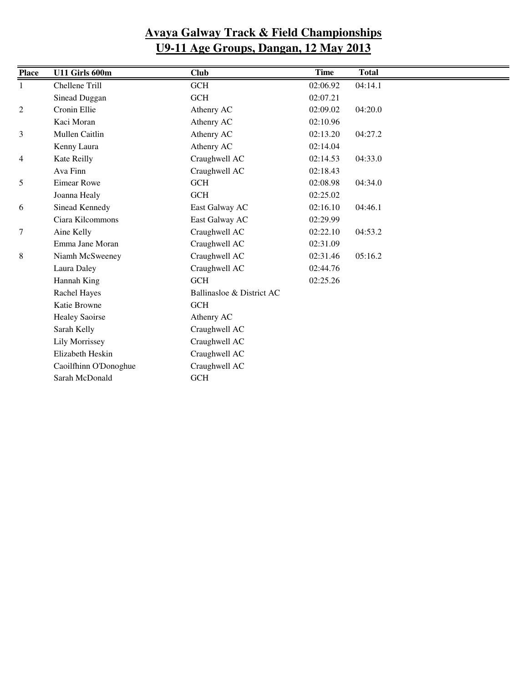| <b>Place</b>   | U11 Girls 600m        | <b>Club</b>               | Time     | <b>Total</b> |  |
|----------------|-----------------------|---------------------------|----------|--------------|--|
| 1              | Chellene Trill        | GCH                       | 02:06.92 | 04:14.1      |  |
|                | Sinead Duggan         | <b>GCH</b>                | 02:07.21 |              |  |
| 2              | Cronin Ellie          | Athenry AC                | 02:09.02 | 04:20.0      |  |
|                | Kaci Moran            | Athenry AC                | 02:10.96 |              |  |
| 3              | Mullen Caitlin        | Athenry AC                | 02:13.20 | 04:27.2      |  |
|                | Kenny Laura           | Athenry AC                | 02:14.04 |              |  |
| $\overline{4}$ | Kate Reilly           | Craughwell AC             | 02:14.53 | 04:33.0      |  |
|                | Ava Finn              | Craughwell AC             | 02:18.43 |              |  |
| 5              | <b>Eimear Rowe</b>    | <b>GCH</b>                | 02:08.98 | 04:34.0      |  |
|                | Joanna Healy          | GCH                       | 02:25.02 |              |  |
| 6              | Sinead Kennedy        | East Galway AC            | 02:16.10 | 04:46.1      |  |
|                | Ciara Kilcommons      | East Galway AC            | 02:29.99 |              |  |
| 7              | Aine Kelly            | Craughwell AC             | 02:22.10 | 04:53.2      |  |
|                | Emma Jane Moran       | Craughwell AC             | 02:31.09 |              |  |
| 8              | Niamh McSweeney       | Craughwell AC             | 02:31.46 | 05:16.2      |  |
|                | Laura Daley           | Craughwell AC             | 02:44.76 |              |  |
|                | Hannah King           | <b>GCH</b>                | 02:25.26 |              |  |
|                | Rachel Hayes          | Ballinasloe & District AC |          |              |  |
|                | Katie Browne          | GCH                       |          |              |  |
|                | <b>Healey Saoirse</b> | Athenry AC                |          |              |  |
|                | Sarah Kelly           | Craughwell AC             |          |              |  |
|                | <b>Lily Morrissey</b> | Craughwell AC             |          |              |  |
|                | Elizabeth Heskin      | Craughwell AC             |          |              |  |
|                | Caoilfhinn O'Donoghue | Craughwell AC             |          |              |  |
|                | Sarah McDonald        | <b>GCH</b>                |          |              |  |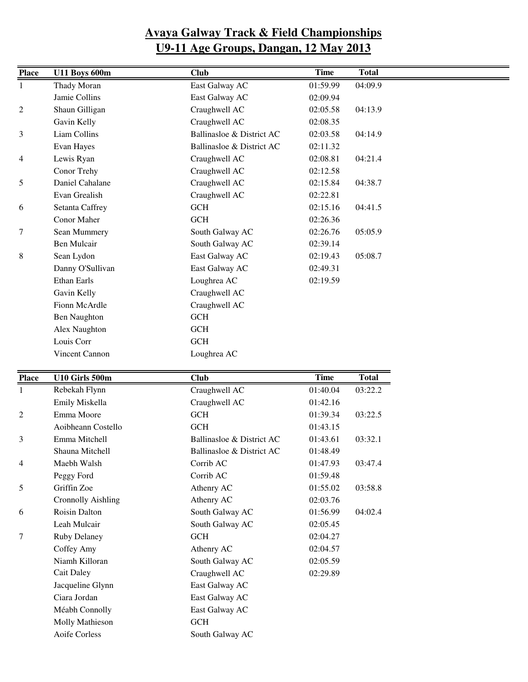| <b>Place</b>   | <b>U11 Boys 600m</b>      | <b>Club</b>               | <b>Time</b> | <b>Total</b> |
|----------------|---------------------------|---------------------------|-------------|--------------|
| 1              | Thady Moran               | East Galway AC            | 01:59.99    | 04:09.9      |
|                | Jamie Collins             | East Galway AC            | 02:09.94    |              |
| $\overline{c}$ | Shaun Gilligan            | Craughwell AC             | 02:05.58    | 04:13.9      |
|                | Gavin Kelly               | Craughwell AC             | 02:08.35    |              |
|                | Liam Collins              | Ballinasloe & District AC | 02:03.58    |              |
| 3              |                           |                           |             | 04:14.9      |
|                | Evan Hayes                | Ballinasloe & District AC | 02:11.32    |              |
| 4              | Lewis Ryan                | Craughwell AC             | 02:08.81    | 04:21.4      |
|                | Conor Trehy               | Craughwell AC             | 02:12.58    |              |
| 5              | Daniel Cahalane           | Craughwell AC             | 02:15.84    | 04:38.7      |
|                | Evan Grealish             | Craughwell AC             | 02:22.81    |              |
| 6              | Setanta Caffrey           | $GCH$                     | 02:15.16    | 04:41.5      |
|                | Conor Maher               | <b>GCH</b>                | 02:26.36    |              |
| 7              | Sean Mummery              | South Galway AC           | 02:26.76    | 05:05.9      |
|                | <b>Ben Mulcair</b>        | South Galway AC           | 02:39.14    |              |
| 8              | Sean Lydon                | East Galway AC            | 02:19.43    | 05:08.7      |
|                | Danny O'Sullivan          | East Galway AC            | 02:49.31    |              |
|                | Ethan Earls               | Loughrea AC               | 02:19.59    |              |
|                | Gavin Kelly               | Craughwell AC             |             |              |
|                | Fionn McArdle             | Craughwell AC             |             |              |
|                | <b>Ben Naughton</b>       | <b>GCH</b>                |             |              |
|                | Alex Naughton             | <b>GCH</b>                |             |              |
|                | Louis Corr                | $GCH$                     |             |              |
|                | Vincent Cannon            | Loughrea AC               |             |              |
|                |                           |                           |             |              |
| <b>Place</b>   | U10 Girls 500m            | <b>Club</b>               | <b>Time</b> | <b>Total</b> |
| 1              | Rebekah Flynn             | Craughwell AC             | 01:40.04    | 03:22.2      |
|                | Emily Miskella            | Craughwell AC             | 01:42.16    |              |
| $\overline{c}$ | Emma Moore                | GCH                       | 01:39.34    | 03:22.5      |
|                | Aoibheann Costello        | <b>GCH</b>                | 01:43.15    |              |
| 3              | Emma Mitchell             | Ballinasloe & District AC | 01:43.61    | 03:32.1      |
|                | Shauna Mitchell           | Ballinasloe & District AC | 01:48.49    |              |
| 4              | Maebh Walsh               | Corrib AC                 | 01:47.93    | 03:47.4      |
|                | Peggy Ford                | Corrib AC                 | 01:59.48    |              |
| 5              | Griffin Zoe               | Athenry AC                | 01:55.02    | 03:58.8      |
|                | <b>Cronnolly Aishling</b> | Athenry AC                | 02:03.76    |              |
| 6              | Roisin Dalton             | South Galway AC           | 01:56.99    | 04:02.4      |
|                | Leah Mulcair              | South Galway AC           | 02:05.45    |              |
| 7              | <b>Ruby Delaney</b>       | GCH                       | 02:04.27    |              |
|                | Coffey Amy                | Athenry AC                | 02:04.57    |              |
|                | Niamh Killoran            | South Galway AC           | 02:05.59    |              |
|                | Cait Daley                |                           | 02:29.89    |              |
|                |                           | Craughwell AC             |             |              |
|                | Jacqueline Glynn          | East Galway AC            |             |              |
|                | Ciara Jordan              | East Galway AC            |             |              |
|                | Méabh Connolly            | East Galway AC            |             |              |
|                | Molly Mathieson           | GCH                       |             |              |
|                | Aoife Corless             | South Galway AC           |             |              |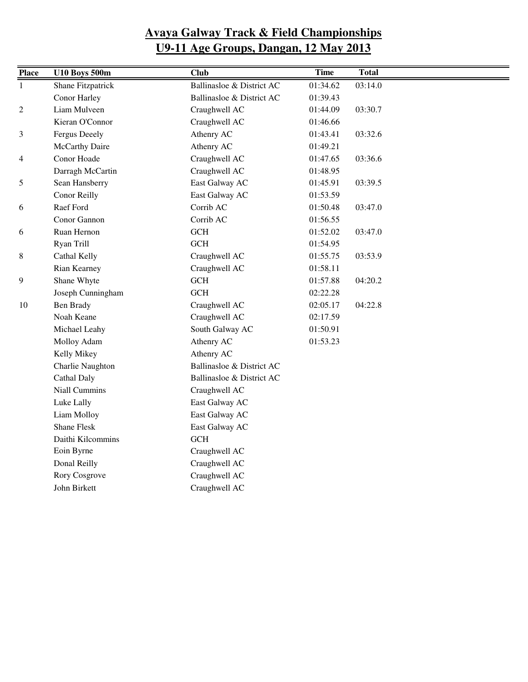| <b>Place</b>   | <b>U10 Boys 500m</b> | Club                      | <b>Time</b> | <b>Total</b> |
|----------------|----------------------|---------------------------|-------------|--------------|
| $\mathbf{1}$   | Shane Fitzpatrick    | Ballinasloe & District AC | 01:34.62    | 03:14.0      |
|                | Conor Harley         | Ballinasloe & District AC | 01:39.43    |              |
| $\mathfrak{2}$ | Liam Mulveen         | Craughwell AC             | 01:44.09    | 03:30.7      |
|                | Kieran O'Connor      | Craughwell AC             | 01:46.66    |              |
| 3              | <b>Fergus Deeely</b> | Athenry AC                | 01:43.41    | 03:32.6      |
|                | McCarthy Daire       | Athenry AC                | 01:49.21    |              |
| $\overline{4}$ | Conor Hoade          | Craughwell AC             | 01:47.65    | 03:36.6      |
|                | Darragh McCartin     | Craughwell AC             | 01:48.95    |              |
| 5              | Sean Hansberry       | East Galway AC            | 01:45.91    | 03:39.5      |
|                | Conor Reilly         | East Galway AC            | 01:53.59    |              |
| 6              | Raef Ford            | Corrib AC                 | 01:50.48    | 03:47.0      |
|                | Conor Gannon         | Corrib AC                 | 01:56.55    |              |
| 6              | Ruan Hernon          | $GCH$                     | 01:52.02    | 03:47.0      |
|                | Ryan Trill           | <b>GCH</b>                | 01:54.95    |              |
| 8              | Cathal Kelly         | Craughwell AC             | 01:55.75    | 03:53.9      |
|                | Rian Kearney         | Craughwell AC             | 01:58.11    |              |
| 9              | Shane Whyte          | <b>GCH</b>                | 01:57.88    | 04:20.2      |
|                | Joseph Cunningham    | <b>GCH</b>                | 02:22.28    |              |
| 10             | <b>Ben Brady</b>     | Craughwell AC             | 02:05.17    | 04:22.8      |
|                | Noah Keane           | Craughwell AC             | 02:17.59    |              |
|                | Michael Leahy        | South Galway AC           | 01:50.91    |              |
|                | Molloy Adam          | Athenry AC                | 01:53.23    |              |
|                | Kelly Mikey          | Athenry AC                |             |              |
|                | Charlie Naughton     | Ballinasloe & District AC |             |              |
|                | Cathal Daly          | Ballinasloe & District AC |             |              |
|                | Niall Cummins        | Craughwell AC             |             |              |
|                | Luke Lally           | East Galway AC            |             |              |
|                | Liam Molloy          | East Galway AC            |             |              |
|                | <b>Shane Flesk</b>   | East Galway AC            |             |              |
|                | Daithi Kilcommins    | <b>GCH</b>                |             |              |
|                | Eoin Byrne           | Craughwell AC             |             |              |
|                | Donal Reilly         | Craughwell AC             |             |              |
|                | Rory Cosgrove        | Craughwell AC             |             |              |
|                | John Birkett         | Craughwell AC             |             |              |
|                |                      |                           |             |              |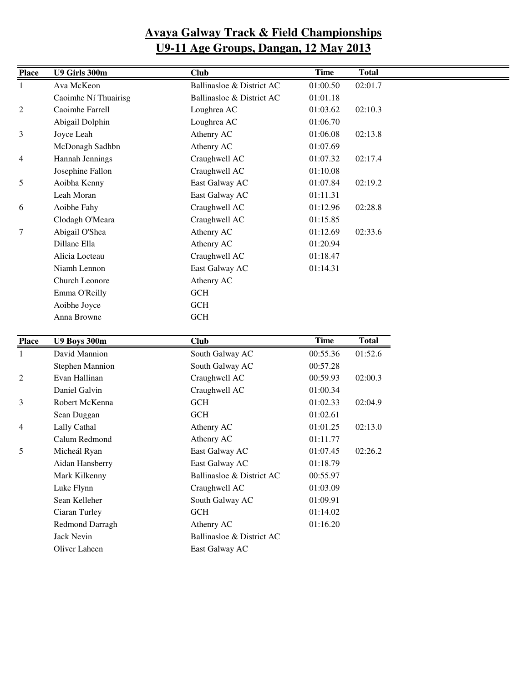| <b>Place</b>   | U9 Girls 300m               | <b>Club</b>               | <b>Time</b> | <b>Total</b> |
|----------------|-----------------------------|---------------------------|-------------|--------------|
|                |                             |                           |             |              |
| 1              | Ava McKeon                  | Ballinasloe & District AC | 01:00.50    | 02:01.7      |
|                | Caoimhe Ní Thuairisg        | Ballinasloe & District AC | 01:01.18    |              |
| $\overline{c}$ | Caoimhe Farrell             | Loughrea AC               | 01:03.62    | 02:10.3      |
|                | Abigail Dolphin             | Loughrea AC               | 01:06.70    |              |
| 3              | Joyce Leah                  | Athenry AC                | 01:06.08    | 02:13.8      |
|                | McDonagh Sadhbn             | Athenry AC                | 01:07.69    |              |
| 4              | <b>Hannah Jennings</b>      | Craughwell AC             | 01:07.32    | 02:17.4      |
|                | Josephine Fallon            | Craughwell AC             | 01:10.08    |              |
| 5              | Aoibha Kenny                | East Galway AC            | 01:07.84    | 02:19.2      |
|                | Leah Moran                  | East Galway AC            | 01:11.31    |              |
| 6              | Aoibhe Fahy                 | Craughwell AC             | 01:12.96    | 02:28.8      |
|                | Clodagh O'Meara             | Craughwell AC             | 01:15.85    |              |
| $\tau$         | Abigail O'Shea              | Athenry AC                | 01:12.69    | 02:33.6      |
|                | Dillane Ella                | Athenry AC                | 01:20.94    |              |
|                | Alicia Locteau              | Craughwell AC             | 01:18.47    |              |
|                | Niamh Lennon                | East Galway AC            | 01:14.31    |              |
|                | Church Leonore              | Athenry AC                |             |              |
|                | Emma O'Reilly               | <b>GCH</b>                |             |              |
|                | Aoibhe Joyce                | <b>GCH</b>                |             |              |
|                | Anna Browne                 | <b>GCH</b>                |             |              |
|                |                             |                           |             |              |
| <b>Place</b>   | <b>U9 Boys 300m</b>         | <b>Club</b>               | <b>Time</b> | <b>Total</b> |
| $\mathbf{1}$   | David Mannion               | South Galway AC           | 00:55.36    | 01:52.6      |
|                | <b>Stephen Mannion</b>      | South Galway AC           | 00:57.28    |              |
| 2              | Evan Hallinan               | Craughwell AC             | 00:59.93    | 02:00.3      |
|                | Daniel Galvin               | Craughwell AC             | 01:00.34    |              |
| 3              | Robert McKenna              | $GCH$                     | 01:02.33    | 02:04.9      |
|                | Sean Duggan                 | <b>GCH</b>                | 01:02.61    |              |
| 4              | Lally Cathal                | Athenry AC                | 01:01.25    | 02:13.0      |
|                | Calum Redmond               | Athenry AC                | 01:11.77    |              |
| 5              | Micheál Ryan                | East Galway AC            | 01:07.45    | 02:26.2      |
|                | Aidan Hansberry             | East Galway AC            | 01:18.79    |              |
|                | Mark Kilkenny               | Ballinasloe & District AC |             |              |
|                |                             |                           | 00:55.97    |              |
|                | Luke Flynn                  | Craughwell AC             | 01:03.09    |              |
|                | Sean Kelleher               | South Galway AC           | 01:09.91    |              |
|                | Ciaran Turley               | GCH                       | 01:14.02    |              |
|                | Redmond Darragh             | Athenry AC                | 01:16.20    |              |
|                |                             | Ballinasloe & District AC |             |              |
|                | Jack Nevin<br>Oliver Laheen | East Galway AC            |             |              |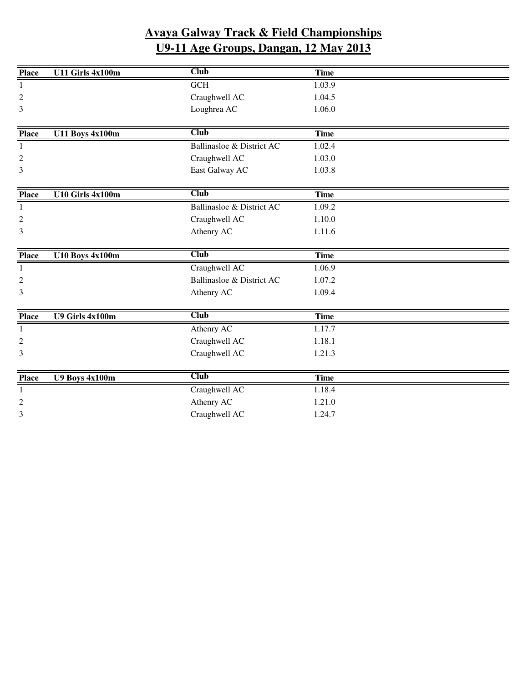| <b>Place</b>     | <b>U11 Girls 4x100m</b> | <b>Club</b>               | <b>Time</b> |  |
|------------------|-------------------------|---------------------------|-------------|--|
| 1                |                         | <b>GCH</b>                | 1.03.9      |  |
| $\overline{2}$   |                         | Craughwell AC             | 1.04.5      |  |
| 3                |                         | Loughrea AC               | 1.06.0      |  |
|                  |                         |                           |             |  |
| <b>Place</b>     | <b>U11 Boys 4x100m</b>  | <b>Club</b>               | <b>Time</b> |  |
| 1                |                         | Ballinasloe & District AC | 1.02.4      |  |
| $\boldsymbol{2}$ |                         | Craughwell AC             | 1.03.0      |  |
| 3                |                         | East Galway AC            | 1.03.8      |  |
|                  |                         |                           |             |  |
| <b>Place</b>     | U10 Girls 4x100m        | <b>Club</b>               | <b>Time</b> |  |
| 1                |                         | Ballinasloe & District AC | 1.09.2      |  |
| $\overline{c}$   |                         | Craughwell AC             | 1.10.0      |  |
| 3                |                         | Athenry AC                | 1.11.6      |  |
|                  |                         |                           |             |  |
|                  |                         |                           |             |  |
| <b>Place</b>     | U10 Boys 4x100m         | <b>Club</b>               | <b>Time</b> |  |
| 1                |                         | Craughwell AC             | 1.06.9      |  |
| $\overline{c}$   |                         | Ballinasloe & District AC | 1.07.2      |  |
| 3                |                         | Athenry AC                | 1.09.4      |  |
|                  |                         |                           |             |  |
| <b>Place</b>     | U9 Girls 4x100m         | <b>Club</b>               | <b>Time</b> |  |
| $\mathbf{1}$     |                         | Athenry AC                | 1.17.7      |  |
| $\boldsymbol{2}$ |                         | Craughwell AC             | 1.18.1      |  |
| 3                |                         | Craughwell AC             | 1.21.3      |  |
|                  |                         |                           |             |  |
| <b>Place</b>     | <b>U9 Boys 4x100m</b>   | <b>Club</b>               | <b>Time</b> |  |
| 1                |                         | Craughwell AC             | 1.18.4      |  |
| $\overline{2}$   |                         | Athenry AC                | 1.21.0      |  |
| 3                |                         | Craughwell AC             | 1.24.7      |  |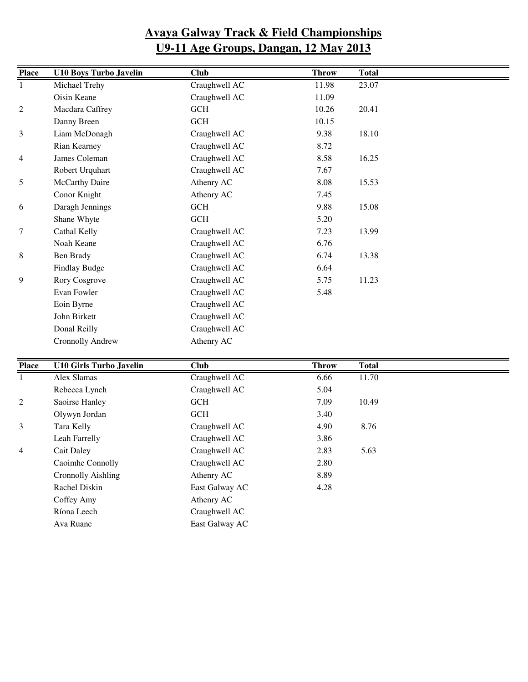| <b>Place</b>   | <b>U10 Boys Turbo Javelin</b> | <b>Club</b>   | <b>Throw</b> | <b>Total</b> |
|----------------|-------------------------------|---------------|--------------|--------------|
| 1              | Michael Trehy                 | Craughwell AC | 11.98        | 23.07        |
|                | Oisin Keane                   | Craughwell AC | 11.09        |              |
| $\overline{2}$ | Macdara Caffrey               | <b>GCH</b>    | 10.26        | 20.41        |
|                | Danny Breen                   | <b>GCH</b>    | 10.15        |              |
| 3              | Liam McDonagh                 | Craughwell AC | 9.38         | 18.10        |
|                | Rian Kearney                  | Craughwell AC | 8.72         |              |
| 4              | James Coleman                 | Craughwell AC | 8.58         | 16.25        |
|                | Robert Urquhart               | Craughwell AC | 7.67         |              |
| 5              | McCarthy Daire                | Athenry AC    | 8.08         | 15.53        |
|                | Conor Knight                  | Athenry AC    | 7.45         |              |
| 6              | Daragh Jennings               | <b>GCH</b>    | 9.88         | 15.08        |
|                | Shane Whyte                   | GCH           | 5.20         |              |
| 7              | Cathal Kelly                  | Craughwell AC | 7.23         | 13.99        |
|                | Noah Keane                    | Craughwell AC | 6.76         |              |
| 8              | Ben Brady                     | Craughwell AC | 6.74         | 13.38        |
|                | Findlay Budge                 | Craughwell AC | 6.64         |              |
| 9              | Rory Cosgrove                 | Craughwell AC | 5.75         | 11.23        |
|                | Evan Fowler                   | Craughwell AC | 5.48         |              |
|                | Eoin Byrne                    | Craughwell AC |              |              |
|                | John Birkett                  | Craughwell AC |              |              |
|                | Donal Reilly                  | Craughwell AC |              |              |
|                | <b>Cronnolly Andrew</b>       | Athenry AC    |              |              |

| <b>Place</b>   | <b>U10 Girls Turbo Javelin</b> | <b>Club</b>    | <b>Throw</b> | <b>Total</b> |
|----------------|--------------------------------|----------------|--------------|--------------|
| $\mathbf{1}$   | Alex Slamas                    | Craughwell AC  | 6.66         | 11.70        |
|                | Rebecca Lynch                  | Craughwell AC  | 5.04         |              |
| 2              | Saoirse Hanley                 | <b>GCH</b>     | 7.09         | 10.49        |
|                | Olywyn Jordan                  | <b>GCH</b>     | 3.40         |              |
| 3              | Tara Kelly                     | Craughwell AC  | 4.90         | 8.76         |
|                | Leah Farrelly                  | Craughwell AC  | 3.86         |              |
| $\overline{4}$ | <b>Cait Daley</b>              | Craughwell AC  | 2.83         | 5.63         |
|                | Caoimhe Connolly               | Craughwell AC  | 2.80         |              |
|                | <b>Cronnolly Aishling</b>      | Athenry AC     | 8.89         |              |
|                | Rachel Diskin                  | East Galway AC | 4.28         |              |
|                | Coffey Amy                     | Athenry AC     |              |              |
|                | Ríona Leech                    | Craughwell AC  |              |              |
|                | Ava Ruane                      | East Galway AC |              |              |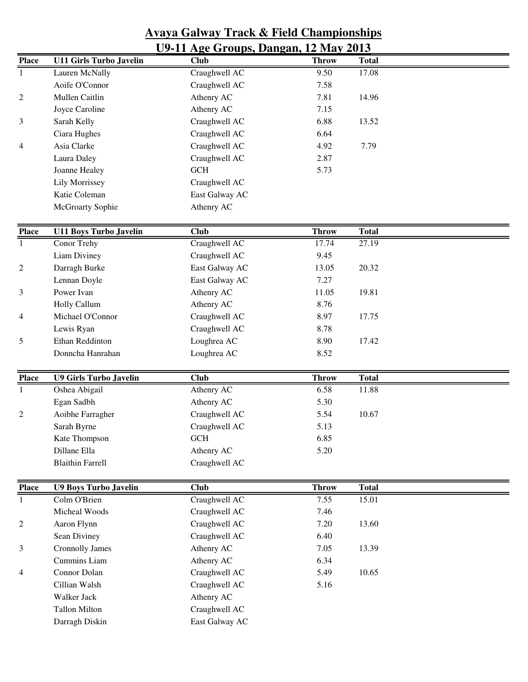|                              | <u>U9-11 Age Groups, Dangan, 12 May 2013</u> |                |                      |                       |  |  |  |  |
|------------------------------|----------------------------------------------|----------------|----------------------|-----------------------|--|--|--|--|
| <b>Place</b>                 | <b>U11 Girls Turbo Javelin</b>               | <b>Club</b>    | <b>Throw</b>         | <b>Total</b>          |  |  |  |  |
| $\mathbf{1}$                 | Lauren McNally                               | Craughwell AC  | 9.50                 | 17.08                 |  |  |  |  |
|                              | Aoife O'Connor                               | Craughwell AC  | 7.58                 |                       |  |  |  |  |
| $\overline{c}$               | Mullen Caitlin                               | Athenry AC     | 7.81                 | 14.96                 |  |  |  |  |
|                              | Joyce Caroline                               | Athenry AC     | 7.15                 |                       |  |  |  |  |
| 3                            | Sarah Kelly                                  | Craughwell AC  | 6.88                 | 13.52                 |  |  |  |  |
|                              | Ciara Hughes                                 | Craughwell AC  | 6.64                 |                       |  |  |  |  |
| 4                            | Asia Clarke                                  | Craughwell AC  | 4.92                 | 7.79                  |  |  |  |  |
|                              | Laura Daley                                  | Craughwell AC  | 2.87                 |                       |  |  |  |  |
|                              | Joanne Healey                                | <b>GCH</b>     | 5.73                 |                       |  |  |  |  |
|                              | Lily Morrissey                               | Craughwell AC  |                      |                       |  |  |  |  |
|                              | Katie Coleman                                | East Galway AC |                      |                       |  |  |  |  |
|                              | McGroarty Sophie                             | Athenry AC     |                      |                       |  |  |  |  |
| <b>Place</b>                 | <b>U11 Boys Turbo Javelin</b>                | <b>Club</b>    | <b>Throw</b>         | <b>Total</b>          |  |  |  |  |
| -1                           | Conor Trehy                                  | Craughwell AC  | 17.74                | 27.19                 |  |  |  |  |
|                              | Liam Diviney                                 | Craughwell AC  | 9.45                 |                       |  |  |  |  |
| $\overline{c}$               | Darragh Burke                                | East Galway AC | 13.05                | 20.32                 |  |  |  |  |
|                              | Lennan Doyle                                 | East Galway AC | 7.27                 |                       |  |  |  |  |
| 3                            | Power Ivan                                   | Athenry AC     | 11.05                | 19.81                 |  |  |  |  |
|                              | Holly Callum                                 | Athenry AC     | 8.76                 |                       |  |  |  |  |
| 4                            | Michael O'Connor                             | Craughwell AC  | 8.97                 | 17.75                 |  |  |  |  |
|                              | Lewis Ryan                                   | Craughwell AC  | 8.78                 |                       |  |  |  |  |
| 5                            | Ethan Reddinton                              | Loughrea AC    | 8.90                 | 17.42                 |  |  |  |  |
|                              | Donncha Hanrahan                             | Loughrea AC    | 8.52                 |                       |  |  |  |  |
| <b>Place</b>                 | <b>U9 Girls Turbo Javelin</b>                | <b>Club</b>    | <b>Throw</b>         | <b>Total</b>          |  |  |  |  |
| $\mathbf{1}$                 | Oshea Abigail                                | Athenry AC     | 6.58                 | 11.88                 |  |  |  |  |
|                              | Egan Sadbh                                   | Athenry AC     | 5.30                 |                       |  |  |  |  |
| 2                            | Aoibhe Farragher                             | Craughwell AC  | 5.54                 | 10.67                 |  |  |  |  |
|                              | Sarah Byrne                                  | Craughwell AC  | 5.13                 |                       |  |  |  |  |
|                              | Kate Thompson                                | <b>GCH</b>     | 6.85                 |                       |  |  |  |  |
|                              | Dillane Ella                                 | Athenry AC     | 5.20                 |                       |  |  |  |  |
|                              | <b>Blaithin Farrell</b>                      | Craughwell AC  |                      |                       |  |  |  |  |
|                              |                                              | <b>Club</b>    |                      |                       |  |  |  |  |
| <b>Place</b><br>$\mathbf{1}$ | <b>U9 Boys Turbo Javelin</b><br>Colm O'Brien | Craughwell AC  | <b>Throw</b><br>7.55 | <b>Total</b><br>15.01 |  |  |  |  |
|                              | Micheal Woods                                | Craughwell AC  | 7.46                 |                       |  |  |  |  |
| 2                            | Aaron Flynn                                  | Craughwell AC  | 7.20                 | 13.60                 |  |  |  |  |
|                              | Sean Diviney                                 | Craughwell AC  | 6.40                 |                       |  |  |  |  |
| 3                            | Cronnolly James                              | Athenry AC     | 7.05                 | 13.39                 |  |  |  |  |
|                              | Cummins Liam                                 | Athenry AC     | 6.34                 |                       |  |  |  |  |
| 4                            | Connor Dolan                                 | Craughwell AC  | 5.49                 | 10.65                 |  |  |  |  |
|                              | Cillian Walsh                                | Craughwell AC  | 5.16                 |                       |  |  |  |  |
|                              | Walker Jack                                  | Athenry AC     |                      |                       |  |  |  |  |
|                              | <b>Tallon Milton</b>                         | Craughwell AC  |                      |                       |  |  |  |  |
|                              | Darragh Diskin                               | East Galway AC |                      |                       |  |  |  |  |
|                              |                                              |                |                      |                       |  |  |  |  |

# **Avaya Galway Track & Field Championships**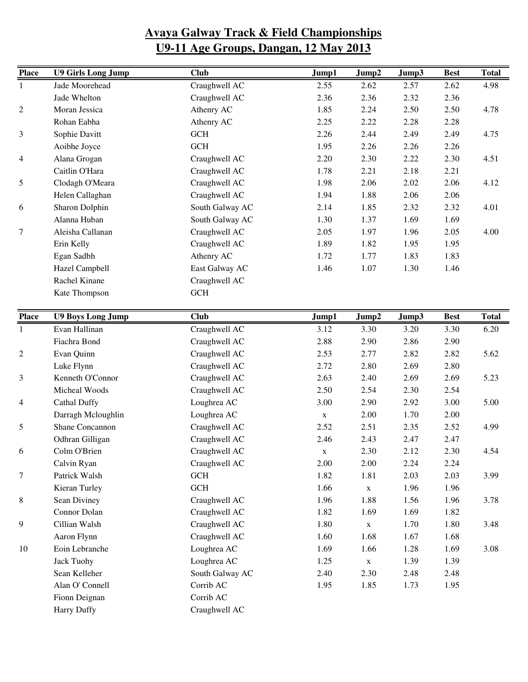| <b>Place</b>   | <b>U9 Girls Long Jump</b> | <b>Club</b>     | Jump1 | Jump2 | Jump3 | <b>Best</b> | <b>Total</b> |
|----------------|---------------------------|-----------------|-------|-------|-------|-------------|--------------|
|                | Jade Moorehead            | Craughwell AC   | 2.55  | 2.62  | 2.57  | 2.62        | 4.98         |
|                | Jade Whelton              | Craughwell AC   | 2.36  | 2.36  | 2.32  | 2.36        |              |
| $\overline{c}$ | Moran Jessica             | Athenry AC      | 1.85  | 2.24  | 2.50  | 2.50        | 4.78         |
|                | Rohan Eabha               | Athenry AC      | 2.25  | 2.22  | 2.28  | 2.28        |              |
| 3              | Sophie Davitt             | <b>GCH</b>      | 2.26  | 2.44  | 2.49  | 2.49        | 4.75         |
|                | Aoibhe Joyce              | <b>GCH</b>      | 1.95  | 2.26  | 2.26  | 2.26        |              |
| $\overline{4}$ | Alana Grogan              | Craughwell AC   | 2.20  | 2.30  | 2.22  | 2.30        | 4.51         |
|                | Caitlin O'Hara            | Craughwell AC   | 1.78  | 2.21  | 2.18  | 2.21        |              |
| 5              | Clodagh O'Meara           | Craughwell AC   | 1.98  | 2.06  | 2.02  | 2.06        | 4.12         |
|                | Helen Callaghan           | Craughwell AC   | 1.94  | 1.88  | 2.06  | 2.06        |              |
| 6              | Sharon Dolphin            | South Galway AC | 2.14  | 1.85  | 2.32  | 2.32        | 4.01         |
|                | Alanna Huban              | South Galway AC | 1.30  | 1.37  | 1.69  | 1.69        |              |
| 7              | Aleisha Callanan          | Craughwell AC   | 2.05  | 1.97  | 1.96  | 2.05        | 4.00         |
|                | Erin Kelly                | Craughwell AC   | 1.89  | 1.82  | 1.95  | 1.95        |              |
|                | Egan Sadbh                | Athenry AC      | 1.72  | 1.77  | 1.83  | 1.83        |              |
|                | Hazel Campbell            | East Galway AC  | 1.46  | 1.07  | 1.30  | 1.46        |              |
|                | Rachel Kinane             | Craughwell AC   |       |       |       |             |              |
|                | Kate Thompson             | <b>GCH</b>      |       |       |       |             |              |

| <b>Place</b>   | <b>U9 Boys Long Jump</b> | <b>Club</b>     | Jump1        | Jump2       | Jump3 | <b>Best</b> | <b>Total</b> |
|----------------|--------------------------|-----------------|--------------|-------------|-------|-------------|--------------|
| $\mathbf{1}$   | Evan Hallinan            | Craughwell AC   | 3.12         | 3.30        | 3.20  | 3.30        | 6.20         |
|                | Fiachra Bond             | Craughwell AC   | 2.88         | 2.90        | 2.86  | 2.90        |              |
| $\overline{c}$ | Evan Quinn               | Craughwell AC   | 2.53         | 2.77        | 2.82  | 2.82        | 5.62         |
|                | Luke Flynn               | Craughwell AC   | 2.72         | 2.80        | 2.69  | 2.80        |              |
| 3              | Kenneth O'Connor         | Craughwell AC   | 2.63         | 2.40        | 2.69  | 2.69        | 5.23         |
|                | Micheal Woods            | Craughwell AC   | 2.50         | 2.54        | 2.30  | 2.54        |              |
| 4              | <b>Cathal Duffy</b>      | Loughrea AC     | 3.00         | 2.90        | 2.92  | 3.00        | 5.00         |
|                | Darragh Mcloughlin       | Loughrea AC     | $\mathbf{X}$ | 2.00        | 1.70  | 2.00        |              |
| 5              | Shane Concannon          | Craughwell AC   | 2.52         | 2.51        | 2.35  | 2.52        | 4.99         |
|                | Odhran Gilligan          | Craughwell AC   | 2.46         | 2.43        | 2.47  | 2.47        |              |
| 6              | Colm O'Brien             | Craughwell AC   | $\mathbf X$  | 2.30        | 2.12  | 2.30        | 4.54         |
|                | Calvin Ryan              | Craughwell AC   | 2.00         | 2.00        | 2.24  | 2.24        |              |
| 7              | Patrick Walsh            | $GCH$           | 1.82         | 1.81        | 2.03  | 2.03        | 3.99         |
|                | Kieran Turley            | <b>GCH</b>      | 1.66         | $\mathbf X$ | 1.96  | 1.96        |              |
| 8              | Sean Diviney             | Craughwell AC   | 1.96         | 1.88        | 1.56  | 1.96        | 3.78         |
|                | Connor Dolan             | Craughwell AC   | 1.82         | 1.69        | 1.69  | 1.82        |              |
| 9              | Cillian Walsh            | Craughwell AC   | 1.80         | $\mathbf X$ | 1.70  | 1.80        | 3.48         |
|                | Aaron Flynn              | Craughwell AC   | 1.60         | 1.68        | 1.67  | 1.68        |              |
| 10             | Eoin Lebranche           | Loughrea AC     | 1.69         | 1.66        | 1.28  | 1.69        | 3.08         |
|                | <b>Jack Tuohy</b>        | Loughrea AC     | 1.25         | $\mathbf X$ | 1.39  | 1.39        |              |
|                | Sean Kelleher            | South Galway AC | 2.40         | 2.30        | 2.48  | 2.48        |              |
|                | Alan O' Connell          | Corrib AC       | 1.95         | 1.85        | 1.73  | 1.95        |              |
|                | Fionn Deignan            | Corrib AC       |              |             |       |             |              |
|                | <b>Harry Duffy</b>       | Craughwell AC   |              |             |       |             |              |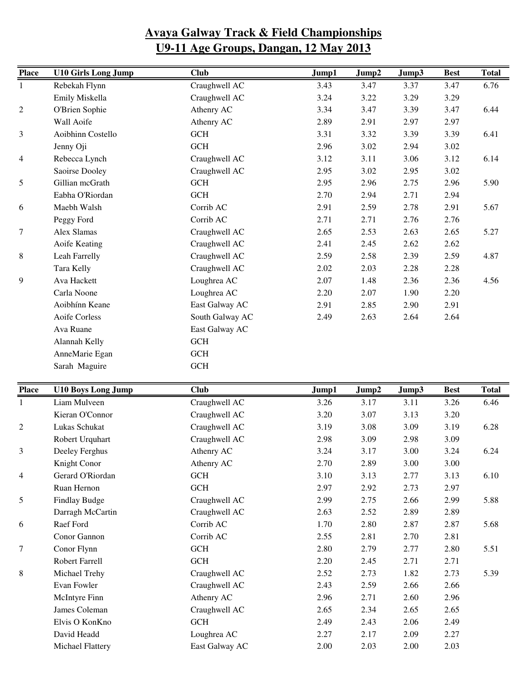| <b>Place</b>     | <b>U10 Girls Long Jump</b> | <b>Club</b>     | Jump1 | Jump2 | Jump3 | <b>Best</b> | <b>Total</b> |
|------------------|----------------------------|-----------------|-------|-------|-------|-------------|--------------|
| $\mathbf{1}$     | Rebekah Flynn              | Craughwell AC   | 3.43  | 3.47  | 3.37  | 3.47        | 6.76         |
|                  | Emily Miskella             | Craughwell AC   | 3.24  | 3.22  | 3.29  | 3.29        |              |
| $\overline{c}$   | O'Brien Sophie             | Athenry AC      | 3.34  | 3.47  | 3.39  | 3.47        | 6.44         |
|                  | Wall Aoife                 | Athenry AC      | 2.89  | 2.91  | 2.97  | 2.97        |              |
| 3                | Aoibhinn Costello          | <b>GCH</b>      | 3.31  | 3.32  | 3.39  | 3.39        | 6.41         |
|                  | Jenny Oji                  | <b>GCH</b>      | 2.96  | 3.02  | 2.94  | 3.02        |              |
| 4                | Rebecca Lynch              | Craughwell AC   | 3.12  | 3.11  | 3.06  | 3.12        | 6.14         |
|                  | Saoirse Dooley             | Craughwell AC   | 2.95  | 3.02  | 2.95  | 3.02        |              |
| 5                | Gillian mcGrath            | <b>GCH</b>      | 2.95  | 2.96  | 2.75  | 2.96        | 5.90         |
|                  | Eabha O'Riordan            | <b>GCH</b>      | 2.70  | 2.94  | 2.71  | 2.94        |              |
| 6                | Maebh Walsh                | Corrib AC       | 2.91  | 2.59  | 2.78  | 2.91        | 5.67         |
|                  | Peggy Ford                 | Corrib AC       | 2.71  | 2.71  | 2.76  | 2.76        |              |
| $\boldsymbol{7}$ | Alex Slamas                | Craughwell AC   | 2.65  | 2.53  | 2.63  | 2.65        | 5.27         |
|                  | Aoife Keating              | Craughwell AC   | 2.41  | 2.45  | 2.62  | 2.62        |              |
| 8                | Leah Farrelly              | Craughwell AC   | 2.59  | 2.58  | 2.39  | 2.59        | 4.87         |
|                  | Tara Kelly                 | Craughwell AC   | 2.02  | 2.03  | 2.28  | 2.28        |              |
| 9                | Ava Hackett                | Loughrea AC     | 2.07  | 1.48  | 2.36  | 2.36        | 4.56         |
|                  | Carla Noone                | Loughrea AC     | 2.20  | 2.07  | 1.90  | 2.20        |              |
|                  | Aoibhínn Keane             | East Galway AC  | 2.91  | 2.85  | 2.90  | 2.91        |              |
|                  | <b>Aoife Corless</b>       | South Galway AC | 2.49  | 2.63  | 2.64  | 2.64        |              |
|                  | Ava Ruane                  | East Galway AC  |       |       |       |             |              |
|                  | Alannah Kelly              | <b>GCH</b>      |       |       |       |             |              |
|                  | AnneMarie Egan             | <b>GCH</b>      |       |       |       |             |              |
|                  | Sarah Maguire              | <b>GCH</b>      |       |       |       |             |              |
| <b>Place</b>     | <b>U10 Boys Long Jump</b>  | <b>Club</b>     | Jump1 | Jump2 | Jump3 | <b>Best</b> | <b>Total</b> |
| 1                | Liam Mulveen               | Craughwell AC   | 3.26  | 3.17  | 3.11  | 3.26        | 6.46         |

| <b>Place</b>   | UI0 Boys Long Jump    | <b>Club</b>    | Jumpl | Jump2 | Jump3 | <b>Best</b> | Total |
|----------------|-----------------------|----------------|-------|-------|-------|-------------|-------|
|                | Liam Mulveen          | Craughwell AC  | 3.26  | 3.17  | 3.11  | 3.26        | 6.46  |
|                | Kieran O'Connor       | Craughwell AC  | 3.20  | 3.07  | 3.13  | 3.20        |       |
| $\mathfrak{2}$ | Lukas Schukat         | Craughwell AC  | 3.19  | 3.08  | 3.09  | 3.19        | 6.28  |
|                | Robert Urquhart       | Craughwell AC  | 2.98  | 3.09  | 2.98  | 3.09        |       |
| 3              | Deeley Ferghus        | Athenry AC     | 3.24  | 3.17  | 3.00  | 3.24        | 6.24  |
|                | Knight Conor          | Athenry AC     | 2.70  | 2.89  | 3.00  | 3.00        |       |
| 4              | Gerard O'Riordan      | <b>GCH</b>     | 3.10  | 3.13  | 2.77  | 3.13        | 6.10  |
|                | Ruan Hernon           | <b>GCH</b>     | 2.97  | 2.92  | 2.73  | 2.97        |       |
| 5              | Findlay Budge         | Craughwell AC  | 2.99  | 2.75  | 2.66  | 2.99        | 5.88  |
|                | Darragh McCartin      | Craughwell AC  | 2.63  | 2.52  | 2.89  | 2.89        |       |
| 6              | Raef Ford             | Corrib AC      | 1.70  | 2.80  | 2.87  | 2.87        | 5.68  |
|                | Conor Gannon          | Corrib AC      | 2.55  | 2.81  | 2.70  | 2.81        |       |
| 7              | Conor Flynn           | <b>GCH</b>     | 2.80  | 2.79  | 2.77  | 2.80        | 5.51  |
|                | <b>Robert Farrell</b> | <b>GCH</b>     | 2.20  | 2.45  | 2.71  | 2.71        |       |
| 8              | Michael Trehy         | Craughwell AC  | 2.52  | 2.73  | 1.82  | 2.73        | 5.39  |
|                | Evan Fowler           | Craughwell AC  | 2.43  | 2.59  | 2.66  | 2.66        |       |
|                | McIntyre Finn         | Athenry AC     | 2.96  | 2.71  | 2.60  | 2.96        |       |
|                | James Coleman         | Craughwell AC  | 2.65  | 2.34  | 2.65  | 2.65        |       |
|                | Elvis O KonKno        | <b>GCH</b>     | 2.49  | 2.43  | 2.06  | 2.49        |       |
|                | David Headd           | Loughrea AC    | 2.27  | 2.17  | 2.09  | 2.27        |       |
|                | Michael Flattery      | East Galway AC | 2.00  | 2.03  | 2.00  | 2.03        |       |
|                |                       |                |       |       |       |             |       |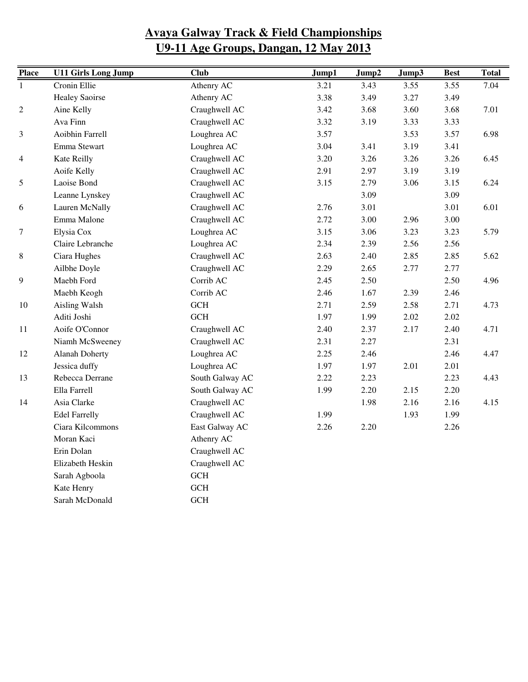| <b>Place</b>             | <b>U11 Girls Long Jump</b> | <b>Club</b>          | Jump1 | Jump2 | Jump3 | <b>Best</b> | <b>Total</b> |
|--------------------------|----------------------------|----------------------|-------|-------|-------|-------------|--------------|
| $\mathbf{1}$             | Cronin Ellie               | Athenry AC           | 3.21  | 3.43  | 3.55  | 3.55        | 7.04         |
|                          | <b>Healey Saoirse</b>      | Athenry AC           | 3.38  | 3.49  | 3.27  | 3.49        |              |
| $\overline{c}$           | Aine Kelly                 | Craughwell AC        | 3.42  | 3.68  | 3.60  | 3.68        | 7.01         |
|                          | Ava Finn                   | Craughwell AC        | 3.32  | 3.19  | 3.33  | 3.33        |              |
| $\mathfrak{Z}$           | Aoibhin Farrell            | Loughrea AC          | 3.57  |       | 3.53  | 3.57        | 6.98         |
|                          | Emma Stewart               | Loughrea AC          | 3.04  | 3.41  | 3.19  | 3.41        |              |
| $\overline{\mathcal{A}}$ | Kate Reilly                | Craughwell AC        | 3.20  | 3.26  | 3.26  | 3.26        | 6.45         |
|                          | Aoife Kelly                | Craughwell AC        | 2.91  | 2.97  | 3.19  | 3.19        |              |
| 5                        | Laoise Bond                | Craughwell AC        | 3.15  | 2.79  | 3.06  | 3.15        | 6.24         |
|                          | Leanne Lynskey             | Craughwell AC        |       | 3.09  |       | 3.09        |              |
| 6                        | Lauren McNally             | Craughwell AC        | 2.76  | 3.01  |       | 3.01        | 6.01         |
|                          | Emma Malone                | Craughwell AC        | 2.72  | 3.00  | 2.96  | 3.00        |              |
| 7                        | Elysia Cox                 | Loughrea AC          | 3.15  | 3.06  | 3.23  | 3.23        | 5.79         |
|                          | Claire Lebranche           | Loughrea AC          | 2.34  | 2.39  | 2.56  | 2.56        |              |
| 8                        | Ciara Hughes               | Craughwell AC        | 2.63  | 2.40  | 2.85  | 2.85        | 5.62         |
|                          | Ailbhe Doyle               | Craughwell AC        | 2.29  | 2.65  | 2.77  | 2.77        |              |
| 9                        | Maebh Ford                 | Corrib AC            | 2.45  | 2.50  |       | 2.50        | 4.96         |
|                          | Maebh Keogh                | Corrib AC            | 2.46  | 1.67  | 2.39  | 2.46        |              |
| 10                       | Aisling Walsh              | <b>GCH</b>           | 2.71  | 2.59  | 2.58  | 2.71        | 4.73         |
|                          | Aditi Joshi                | <b>GCH</b>           | 1.97  | 1.99  | 2.02  | 2.02        |              |
| 11                       | Aoife O'Connor             | Craughwell AC        | 2.40  | 2.37  | 2.17  | 2.40        | 4.71         |
|                          | Niamh McSweeney            | Craughwell AC        | 2.31  | 2.27  |       | 2.31        |              |
| 12                       | <b>Alanah Doherty</b>      | Loughrea AC          | 2.25  | 2.46  |       | 2.46        | 4.47         |
|                          | Jessica duffy              | Loughrea AC          | 1.97  | 1.97  | 2.01  | 2.01        |              |
| 13                       | Rebecca Derrane            | South Galway AC      | 2.22  | 2.23  |       | 2.23        | 4.43         |
|                          | Ella Farrell               | South Galway AC      | 1.99  | 2.20  | 2.15  | 2.20        |              |
| 14                       | Asia Clarke                | Craughwell AC        |       | 1.98  | 2.16  | 2.16        | 4.15         |
|                          | <b>Edel Farrelly</b>       | Craughwell AC        | 1.99  |       | 1.93  | 1.99        |              |
|                          | Ciara Kilcommons           | East Galway AC       | 2.26  | 2.20  |       | 2.26        |              |
|                          | Moran Kaci                 | Athenry AC           |       |       |       |             |              |
|                          | Erin Dolan                 | Craughwell AC        |       |       |       |             |              |
|                          | Elizabeth Heskin           | Craughwell AC        |       |       |       |             |              |
|                          | Sarah Agboola              | $\operatorname{GCH}$ |       |       |       |             |              |
|                          | Kate Henry                 | <b>GCH</b>           |       |       |       |             |              |
|                          | Sarah McDonald             | <b>GCH</b>           |       |       |       |             |              |